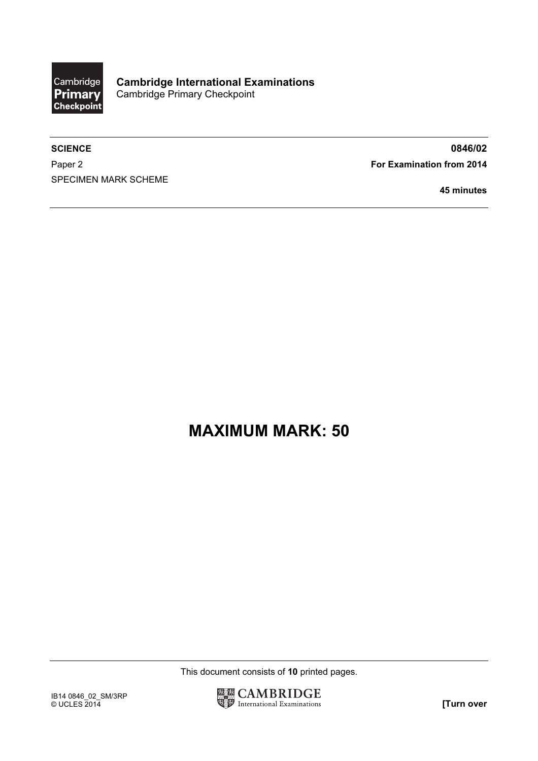

Paper 2 **For Examination from 2014** SPECIMEN MARK SCHEME

SCIENCE 80846/02

45 minutes

## MAXIMUM MARK: 50

This document consists of 10 printed pages.

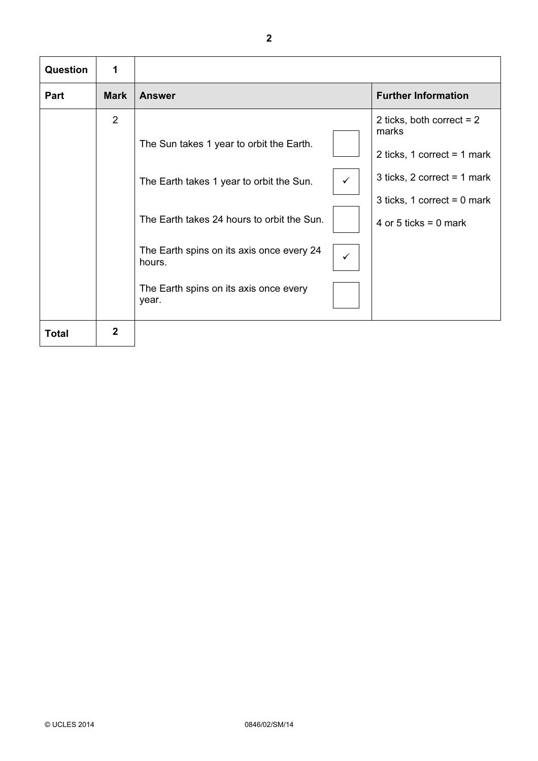| <b>Question</b> | 1           |                                                                                                                                                                                                                                                                              |                                                                                                                                                                |
|-----------------|-------------|------------------------------------------------------------------------------------------------------------------------------------------------------------------------------------------------------------------------------------------------------------------------------|----------------------------------------------------------------------------------------------------------------------------------------------------------------|
| Part            | <b>Mark</b> | <b>Answer</b>                                                                                                                                                                                                                                                                | <b>Further Information</b>                                                                                                                                     |
|                 | 2           | The Sun takes 1 year to orbit the Earth.<br>$\checkmark$<br>The Earth takes 1 year to orbit the Sun.<br>The Earth takes 24 hours to orbit the Sun.<br>The Earth spins on its axis once every 24<br>$\checkmark$<br>hours.<br>The Earth spins on its axis once every<br>year. | 2 ticks, both correct $= 2$<br>marks<br>2 ticks, 1 correct = 1 mark<br>3 ticks, $2$ correct = 1 mark<br>3 ticks, 1 correct = $0$ mark<br>4 or 5 ticks = 0 mark |
| <b>Total</b>    | 2           |                                                                                                                                                                                                                                                                              |                                                                                                                                                                |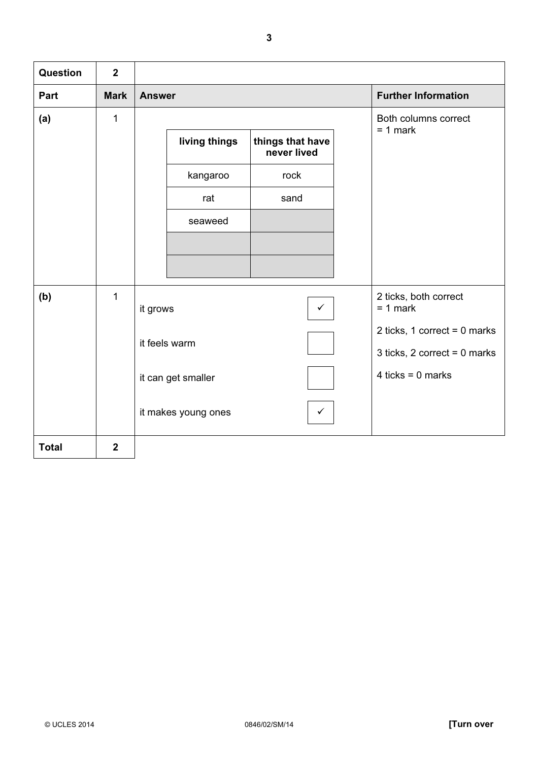| Question     | $\overline{2}$ |                                                  |                                     |
|--------------|----------------|--------------------------------------------------|-------------------------------------|
| Part         | <b>Mark</b>    | <b>Answer</b>                                    | <b>Further Information</b>          |
| (a)          | 1              |                                                  | Both columns correct<br>$= 1$ mark  |
|              |                | living things<br>things that have<br>never lived |                                     |
|              |                | rock<br>kangaroo                                 |                                     |
|              |                | sand<br>rat                                      |                                     |
|              |                | seaweed                                          |                                     |
|              |                |                                                  |                                     |
|              |                |                                                  |                                     |
| (b)          | $\mathbf{1}$   | it grows<br>$\checkmark$                         | 2 ticks, both correct<br>$= 1$ mark |
|              |                | it feels warm                                    | 2 ticks, 1 correct = $0$ marks      |
|              |                |                                                  | 3 ticks, 2 correct = $0$ marks      |
|              |                | it can get smaller                               | 4 ticks = $0$ marks                 |
|              |                | it makes young ones                              |                                     |
| <b>Total</b> | $\overline{2}$ |                                                  |                                     |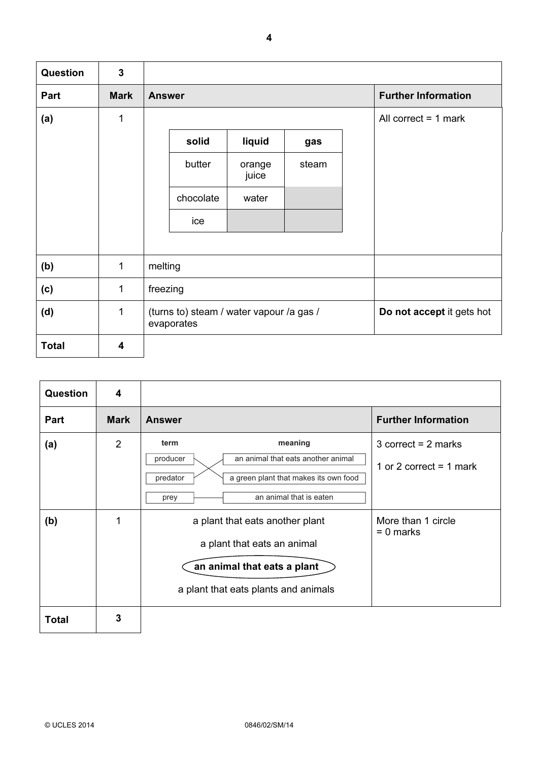| Question     | $\mathbf{3}$ |                                                        |       |                            |
|--------------|--------------|--------------------------------------------------------|-------|----------------------------|
| Part         | <b>Mark</b>  | <b>Answer</b>                                          |       | <b>Further Information</b> |
| (a)          | 1            |                                                        |       | All correct $= 1$ mark     |
|              |              | liquid<br>solid                                        | gas   |                            |
|              |              | butter<br>orange<br>juice                              | steam |                            |
|              |              | chocolate<br>water                                     |       |                            |
|              |              | ice                                                    |       |                            |
|              |              |                                                        |       |                            |
| (b)          | 1            | melting                                                |       |                            |
| (c)          | $\mathbf{1}$ | freezing                                               |       |                            |
| (d)          | $\mathbf{1}$ | (turns to) steam / water vapour /a gas /<br>evaporates |       | Do not accept it gets hot  |
| <b>Total</b> | 4            |                                                        |       |                            |

| <b>Question</b> | 4              |                                                                                                                                                                                                               |
|-----------------|----------------|---------------------------------------------------------------------------------------------------------------------------------------------------------------------------------------------------------------|
| <b>Part</b>     | <b>Mark</b>    | <b>Further Information</b><br><b>Answer</b>                                                                                                                                                                   |
| (a)             | $\overline{2}$ | meaning<br>term<br>3 correct = $2$ marks<br>an animal that eats another animal<br>producer<br>1 or 2 correct = 1 mark<br>predator<br>a green plant that makes its own food<br>an animal that is eaten<br>prey |
| (b)             | 1              | More than 1 circle<br>a plant that eats another plant<br>$= 0$ marks<br>a plant that eats an animal<br>an animal that eats a plant<br>a plant that eats plants and animals                                    |
| <b>Total</b>    | 3              |                                                                                                                                                                                                               |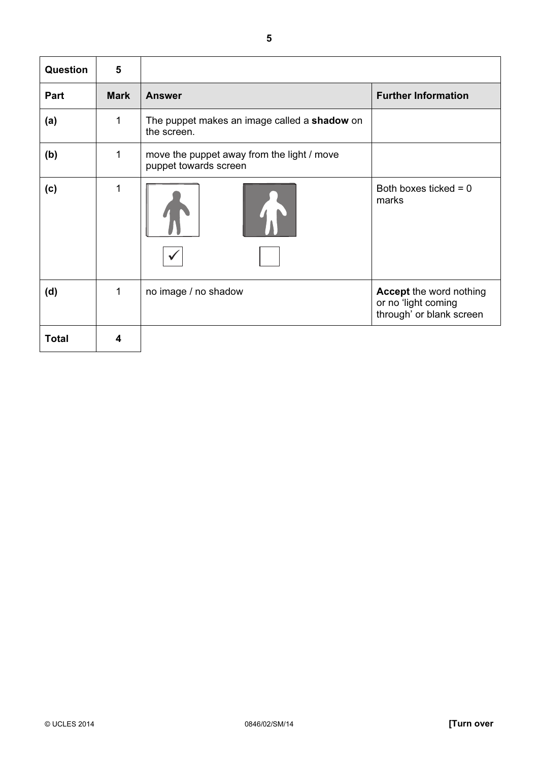| Question     | 5           |                                                                     |                                                                                   |
|--------------|-------------|---------------------------------------------------------------------|-----------------------------------------------------------------------------------|
| Part         | <b>Mark</b> | <b>Answer</b>                                                       | <b>Further Information</b>                                                        |
| (a)          | 1           | The puppet makes an image called a shadow on<br>the screen.         |                                                                                   |
| (b)          | 1           | move the puppet away from the light / move<br>puppet towards screen |                                                                                   |
| (c)          | 1           |                                                                     | Both boxes ticked = $0$<br>marks                                                  |
| (d)          | 1           | no image / no shadow                                                | <b>Accept the word nothing</b><br>or no 'light coming<br>through' or blank screen |
| <b>Total</b> | 4           |                                                                     |                                                                                   |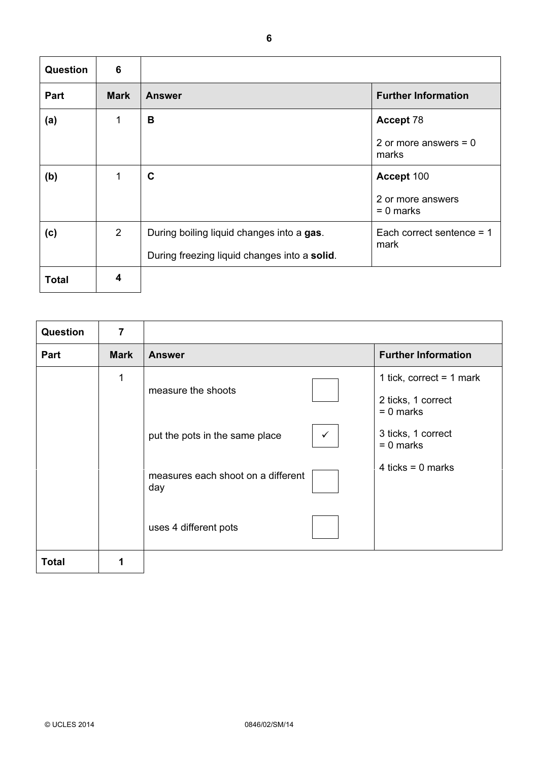| <b>Question</b> | 6           |                                              |                                  |
|-----------------|-------------|----------------------------------------------|----------------------------------|
| Part            | <b>Mark</b> | <b>Answer</b>                                | <b>Further Information</b>       |
| (a)             | 1           | B                                            | Accept 78                        |
|                 |             |                                              | 2 or more answers $= 0$<br>marks |
| (b)             | 1           | C                                            | Accept 100                       |
|                 |             |                                              | 2 or more answers<br>$= 0$ marks |
| (c)             | 2           | During boiling liquid changes into a gas.    | Each correct sentence $= 1$      |
|                 |             | During freezing liquid changes into a solid. | mark                             |
| <b>Total</b>    | 4           |                                              |                                  |

| Question     | $\overline{7}$ |                                           |              |                                                                 |
|--------------|----------------|-------------------------------------------|--------------|-----------------------------------------------------------------|
| Part         | <b>Mark</b>    | <b>Answer</b>                             |              | <b>Further Information</b>                                      |
|              | 1              | measure the shoots                        |              | 1 tick, correct = $1$ mark<br>2 ticks, 1 correct<br>$= 0$ marks |
|              |                | put the pots in the same place            | $\checkmark$ | 3 ticks, 1 correct<br>$= 0$ marks                               |
|              |                | measures each shoot on a different<br>day |              | 4 ticks = $0$ marks                                             |
|              |                | uses 4 different pots                     |              |                                                                 |
| <b>Total</b> |                |                                           |              |                                                                 |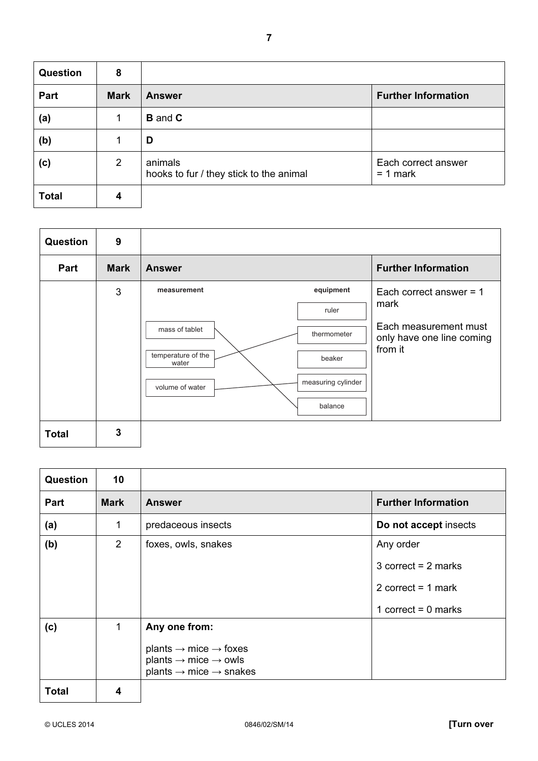| <b>Question</b> | 8           |                                                    |                                   |
|-----------------|-------------|----------------------------------------------------|-----------------------------------|
| Part            | <b>Mark</b> | <b>Answer</b>                                      | <b>Further Information</b>        |
| (a)             |             | <b>B</b> and <b>C</b>                              |                                   |
| (b)             |             | D                                                  |                                   |
| (c)             | 2           | animals<br>hooks to fur / they stick to the animal | Each correct answer<br>$= 1$ mark |
| <b>Total</b>    | 4           |                                                    |                                   |

| <b>Question</b> | 9           |                                        |                                                    |
|-----------------|-------------|----------------------------------------|----------------------------------------------------|
| Part            | <b>Mark</b> | <b>Answer</b>                          | <b>Further Information</b>                         |
|                 | 3           | equipment<br>measurement               | Each correct answer = $1$<br>mark                  |
|                 |             | ruler<br>mass of tablet<br>thermometer | Each measurement must<br>only have one line coming |
|                 |             | temperature of the<br>beaker<br>water  | from it                                            |
|                 |             | measuring cylinder<br>volume of water  |                                                    |
|                 |             | balance                                |                                                    |
| <b>Total</b>    | 3           |                                        |                                                    |

| <b>Question</b> | 10             |                                                                                                                                                                  |                                                                                     |
|-----------------|----------------|------------------------------------------------------------------------------------------------------------------------------------------------------------------|-------------------------------------------------------------------------------------|
| <b>Part</b>     | <b>Mark</b>    | <b>Answer</b>                                                                                                                                                    | <b>Further Information</b>                                                          |
| (a)             | 1              | predaceous insects                                                                                                                                               | Do not accept insects                                                               |
| (b)             | $\overline{2}$ | foxes, owls, snakes                                                                                                                                              | Any order<br>3 correct = $2$ marks<br>2 correct = $1$ mark<br>1 correct = $0$ marks |
| (c)             | 1              | Any one from:<br>plants $\rightarrow$ mice $\rightarrow$ foxes<br>plants $\rightarrow$ mice $\rightarrow$ owls<br>plants $\rightarrow$ mice $\rightarrow$ snakes |                                                                                     |
| <b>Total</b>    | 4              |                                                                                                                                                                  |                                                                                     |

H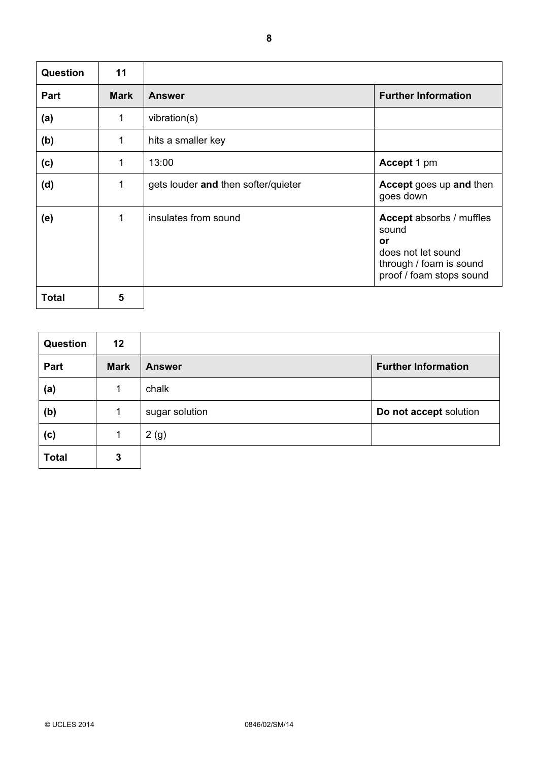| Question     | 11          |                                     |                                                                                                                             |
|--------------|-------------|-------------------------------------|-----------------------------------------------------------------------------------------------------------------------------|
| Part         | <b>Mark</b> | <b>Answer</b>                       | <b>Further Information</b>                                                                                                  |
| (a)          | 1           | vibration(s)                        |                                                                                                                             |
| (b)          | 1           | hits a smaller key                  |                                                                                                                             |
| (c)          | 1           | 13:00                               | Accept 1 pm                                                                                                                 |
| (d)          | 1           | gets louder and then softer/quieter | Accept goes up and then<br>goes down                                                                                        |
| (e)          | 1           | insulates from sound                | <b>Accept</b> absorbs / muffles<br>sound<br>or<br>does not let sound<br>through / foam is sound<br>proof / foam stops sound |
| <b>Total</b> | 5           |                                     |                                                                                                                             |

| <b>Question</b> | 12          |                |                            |
|-----------------|-------------|----------------|----------------------------|
| Part            | <b>Mark</b> | <b>Answer</b>  | <b>Further Information</b> |
| (a)             |             | chalk          |                            |
| (b)             |             | sugar solution | Do not accept solution     |
| (c)             |             | 2(g)           |                            |
| <b>Total</b>    | 3           |                |                            |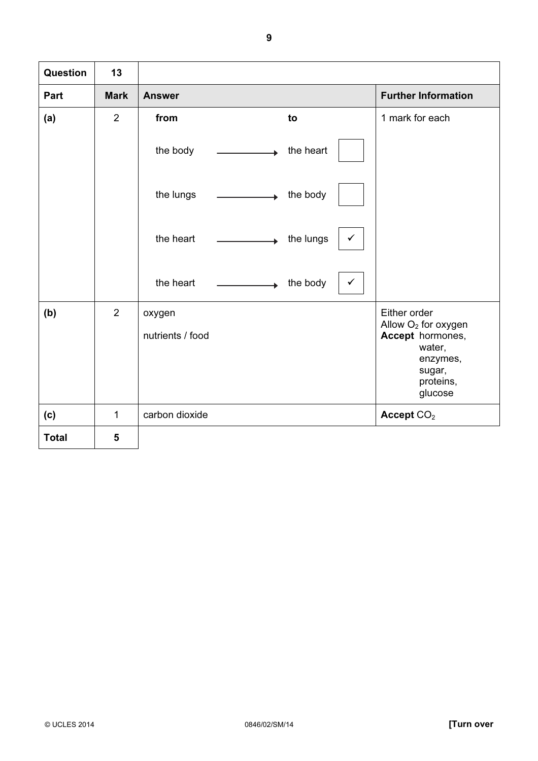| Question     | 13          |                                                                                                                                                                                                                                                                                |                                                                                                                             |
|--------------|-------------|--------------------------------------------------------------------------------------------------------------------------------------------------------------------------------------------------------------------------------------------------------------------------------|-----------------------------------------------------------------------------------------------------------------------------|
| Part         | <b>Mark</b> | <b>Answer</b>                                                                                                                                                                                                                                                                  | <b>Further Information</b>                                                                                                  |
| (a)          | 2           | from<br>to                                                                                                                                                                                                                                                                     | 1 mark for each                                                                                                             |
|              |             | the body<br>the heart                                                                                                                                                                                                                                                          |                                                                                                                             |
|              |             | the lungs<br>the body<br><u> The Community of the Community of the Community of the Community of the Community of the Community of the Community of the Community of the Community of the Community of the Community of the Community of the Community of</u><br>$\rightarrow$ |                                                                                                                             |
|              |             | the heart<br>the lungs<br>$\checkmark$<br>A.                                                                                                                                                                                                                                   |                                                                                                                             |
|              |             | the heart<br>the body<br>$\checkmark$<br>Ă.                                                                                                                                                                                                                                    |                                                                                                                             |
| (b)          | 2           | oxygen<br>nutrients / food                                                                                                                                                                                                                                                     | Either order<br>Allow O <sub>2</sub> for oxygen<br>Accept hormones,<br>water,<br>enzymes,<br>sugar,<br>proteins,<br>glucose |
| (c)          | 1           | carbon dioxide                                                                                                                                                                                                                                                                 | Accept CO <sub>2</sub>                                                                                                      |
| <b>Total</b> | 5           |                                                                                                                                                                                                                                                                                |                                                                                                                             |